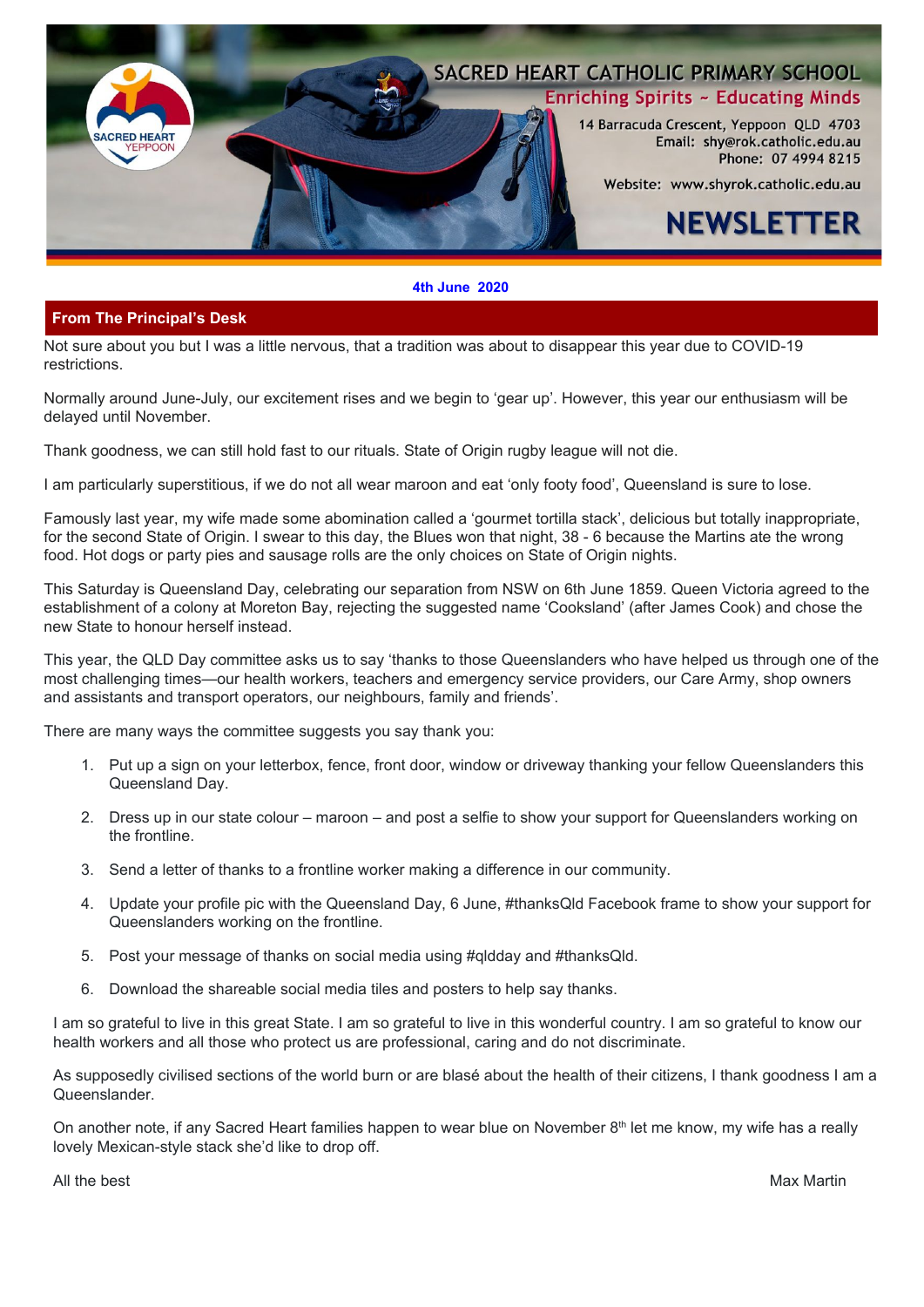

#### **4th June 2020**

## **From The Principal's Desk**

Not sure about you but I was a little nervous, that a tradition was about to disappear this year due to COVID-19 restrictions.

Normally around June-July, our excitement rises and we begin to 'gear up'. However, this year our enthusiasm will be delayed until November.

Thank goodness, we can still hold fast to our rituals. State of Origin rugby league will not die.

I am particularly superstitious, if we do not all wear maroon and eat 'only footy food', Queensland is sure to lose.

Famously last year, my wife made some abomination called a 'gourmet tortilla stack', delicious but totally inappropriate, for the second State of Origin. I swear to this day, the Blues won that night, 38 - 6 because the Martins ate the wrong food. Hot dogs or party pies and sausage rolls are the only choices on State of Origin nights.

This Saturday is Queensland Day, celebrating our separation from NSW on 6th June 1859. Queen Victoria agreed to the establishment of a colony at Moreton Bay, rejecting the suggested name 'Cooksland' (after James Cook) and chose the new State to honour herself instead.

This year, the QLD Day committee asks us to say 'thanks to those Queenslanders who have helped us through one of the most challenging times—our health workers, teachers and emergency service providers, our Care Army, shop owners and assistants and transport operators, our neighbours, family and friends'.

There are many ways the committee suggests you say thank you:

- 1. Put up a sign on your letterbox, fence, front door, window or driveway thanking your fellow Queenslanders this Queensland Day.
- 2. Dress up in our state colour maroon and post a selfie to show your support for Queenslanders working on the frontline.
- 3. Send a letter of thanks to a frontline worker making a difference in our community.
- 4. Update your profile pic with the Queensland Day, 6 June, #thanksQld Facebook frame to show your support for Queenslanders working on the frontline.
- 5. Post your message of thanks on social media using #qldday and #thanksQld.
- 6. Download the shareable social media tiles and posters to help say thanks.

I am so grateful to live in this great State. I am so grateful to live in this wonderful country. I am so grateful to know our health workers and all those who protect us are professional, caring and do not discriminate.

As supposedly civilised sections of the world burn or are blasé about the health of their citizens, I thank goodness I am a Queenslander.

On another note, if any Sacred Heart families happen to wear blue on November 8<sup>th</sup> let me know, my wife has a really lovely Mexican-style stack she'd like to drop off.

All the best **Max Martin** Max Martin All the best Max Martin All the best  $\sim$  Max Martin  $\sim$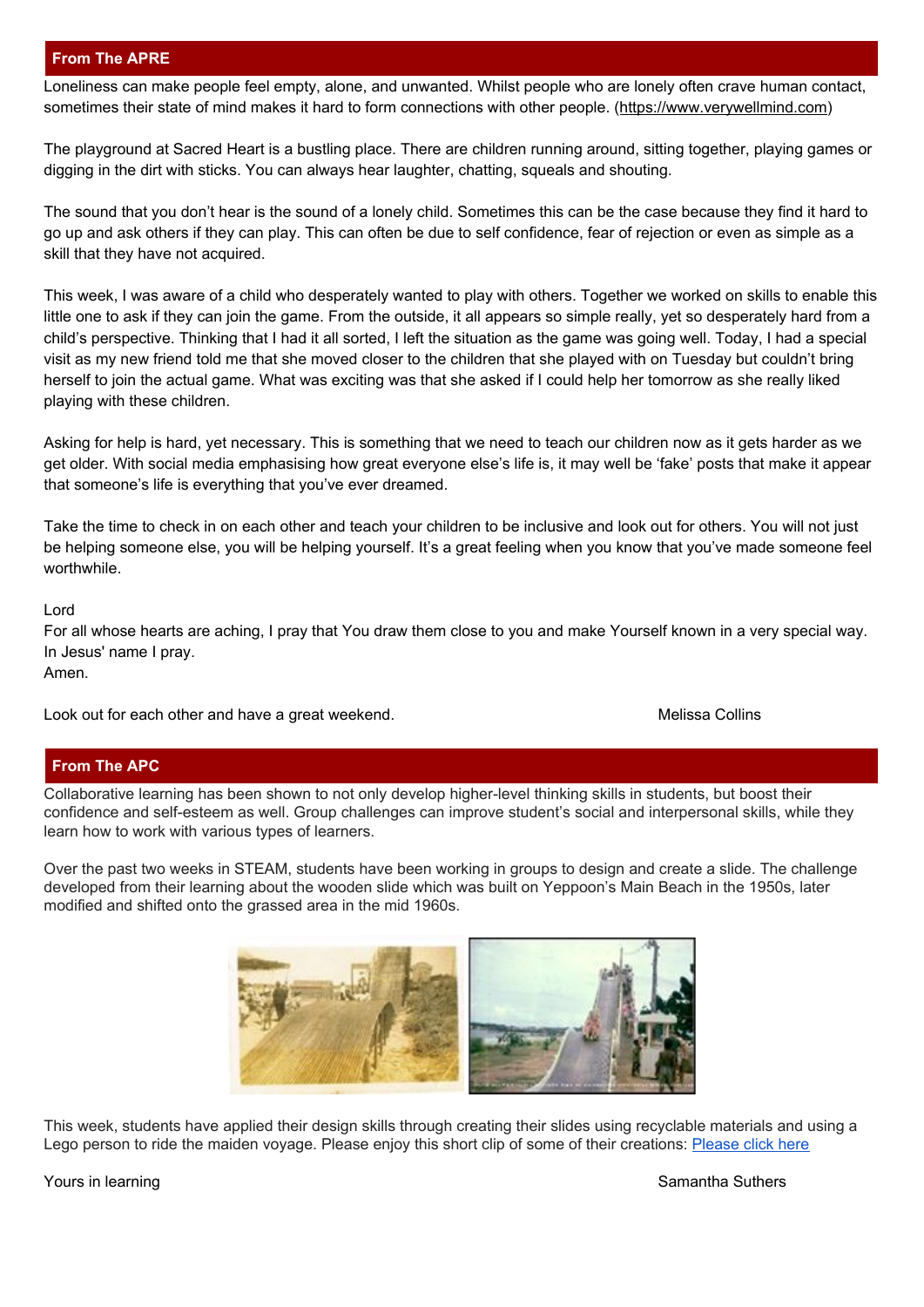# **From The APRE**

Loneliness can make people feel empty, alone, and unwanted. Whilst people who are lonely often crave human contact, sometimes their state of mind makes it hard to form connections with other people. ([https://www.verywellmind.com\)](https://www.verywellmind.com/loneliness-causes-effects-and-treatments-2795749)

The playground at Sacred Heart is a bustling place. There are children running around, sitting together, playing games or digging in the dirt with sticks. You can always hear laughter, chatting, squeals and shouting.

The sound that you don't hear is the sound of a lonely child. Sometimes this can be the case because they find it hard to go up and ask others if they can play. This can often be due to self confidence, fear of rejection or even as simple as a skill that they have not acquired.

This week, I was aware of a child who desperately wanted to play with others. Together we worked on skills to enable this little one to ask if they can join the game. From the outside, it all appears so simple really, yet so desperately hard from a child's perspective. Thinking that I had it all sorted, I left the situation as the game was going well. Today, I had a special visit as my new friend told me that she moved closer to the children that she played with on Tuesday but couldn't bring herself to join the actual game. What was exciting was that she asked if I could help her tomorrow as she really liked playing with these children.

Asking for help is hard, yet necessary. This is something that we need to teach our children now as it gets harder as we get older. With social media emphasising how great everyone else's life is, it may well be 'fake' posts that make it appear that someone's life is everything that you've ever dreamed.

Take the time to check in on each other and teach your children to be inclusive and look out for others. You will not just be helping someone else, you will be helping yourself. It's a great feeling when you know that you've made someone feel worthwhile.

Lord

For all whose hearts are aching, I pray that You draw them close to you and make Yourself known in a very special way. In Jesus' name I pray. Amen.

Look out for each other and have a great weekend. The metal was also as a metal metal of Melissa Collins

# **From The APC**

Collaborative learning has been shown to not only develop higher-level thinking skills in students, but boost their confidence and self-esteem as well. Group challenges can improve student's social and interpersonal skills, while they learn how to work with various types of learners.

Over the past two weeks in STEAM, students have been working in groups to design and create a slide. The challenge developed from their learning about the wooden slide which was built on Yeppoon's Main Beach in the 1950s, later modified and shifted onto the grassed area in the mid 1960s.



This week, students have applied their design skills through creating their slides using recyclable materials and using a Lego person to ride the maiden voyage. [Please](https://youtu.be/Rod8ZvoccXw) enjoy this short clip of some of their creations: Please click here

Yours in learning Samantha Suthers and Samantha Suthers and Samantha Suthers and Samantha Suthers and Samantha Suthers and Samantha Suthers and Samantha Suthers and Samantha Suthers and Samantha Suthers and Samantha Suther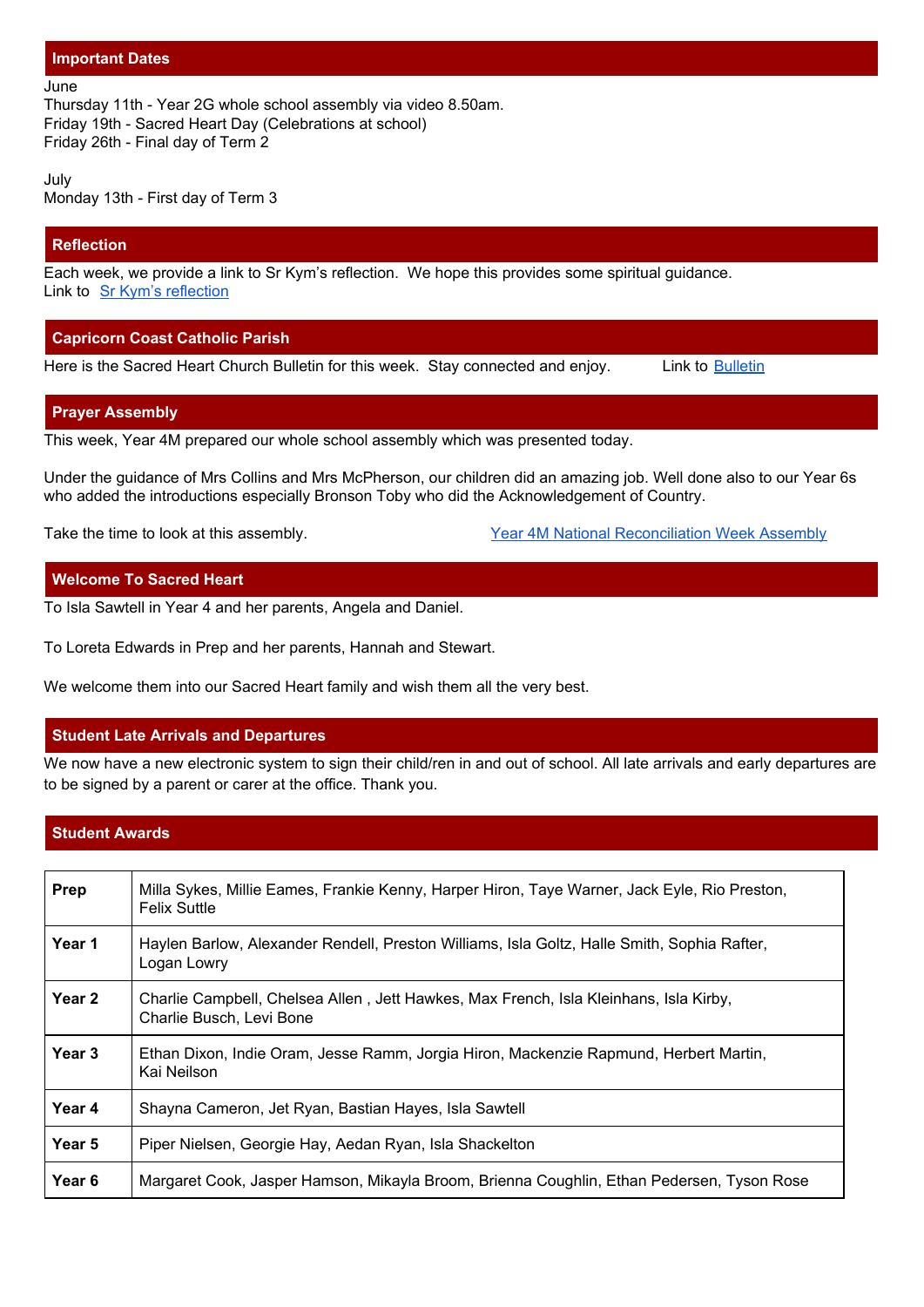#### **Important Dates**

#### June

Thursday 11th - Year 2G whole school assembly via video 8.50am. Friday 19th - Sacred Heart Day (Celebrations at school) Friday 26th - Final day of Term 2

July Monday 13th - First day of Term 3

## **Reflection**

Each week, we provide a link to Sr Kym's reflection. We hope this provides some spiritual guidance. Link to Sr Kym's [reflection](https://drive.google.com/file/d/1za0VCE79hUlzl9xiKgHXHhK1lI39vjqp/view?usp=sharing)

## **Capricorn Coast Catholic Parish**

Here is the Sacred Heart Church [Bulletin](https://drive.google.com/file/d/1VhUV8xo5muy3BphxW2JwGdQ55JWa5y7g/view?usp=sharing) for this week. Stay connected and enjoy. Link to Bulletin

#### **Prayer Assembly**

This week, Year 4M prepared our whole school assembly which was presented today.

Under the guidance of Mrs Collins and Mrs McPherson, our children did an amazing job. Well done also to our Year 6s who added the introductions especially Bronson Toby who did the Acknowledgement of Country.

Take the time to look at this assembly. The Seconciliation Week Assembly and Take the time to look at this assembly.

#### **Welcome To Sacred Heart**

To Isla Sawtell in Year 4 and her parents, Angela and Daniel.

To Loreta Edwards in Prep and her parents, Hannah and Stewart.

We welcome them into our Sacred Heart family and wish them all the very best.

#### **Student Late Arrivals and Departures**

We now have a new electronic system to sign their child/ren in and out of school. All late arrivals and early departures are to be signed by a parent or carer at the office. Thank you.

#### **Student Awards**

| Prep              | Milla Sykes, Millie Eames, Frankie Kenny, Harper Hiron, Taye Warner, Jack Eyle, Rio Preston,<br><b>Felix Suttle</b> |
|-------------------|---------------------------------------------------------------------------------------------------------------------|
| Year 1            | Haylen Barlow, Alexander Rendell, Preston Williams, Isla Goltz, Halle Smith, Sophia Rafter,<br>Logan Lowry          |
| Year <sub>2</sub> | Charlie Campbell, Chelsea Allen, Jett Hawkes, Max French, Isla Kleinhans, Isla Kirby,<br>Charlie Busch, Levi Bone   |
| Year 3            | Ethan Dixon, Indie Oram, Jesse Ramm, Jorgia Hiron, Mackenzie Rapmund, Herbert Martin,<br>Kai Neilson                |
| Year 4            | Shayna Cameron, Jet Ryan, Bastian Hayes, Isla Sawtell                                                               |
| Year 5            | Piper Nielsen, Georgie Hay, Aedan Ryan, Isla Shackelton                                                             |
| Year 6            | Margaret Cook, Jasper Hamson, Mikayla Broom, Brienna Coughlin, Ethan Pedersen, Tyson Rose                           |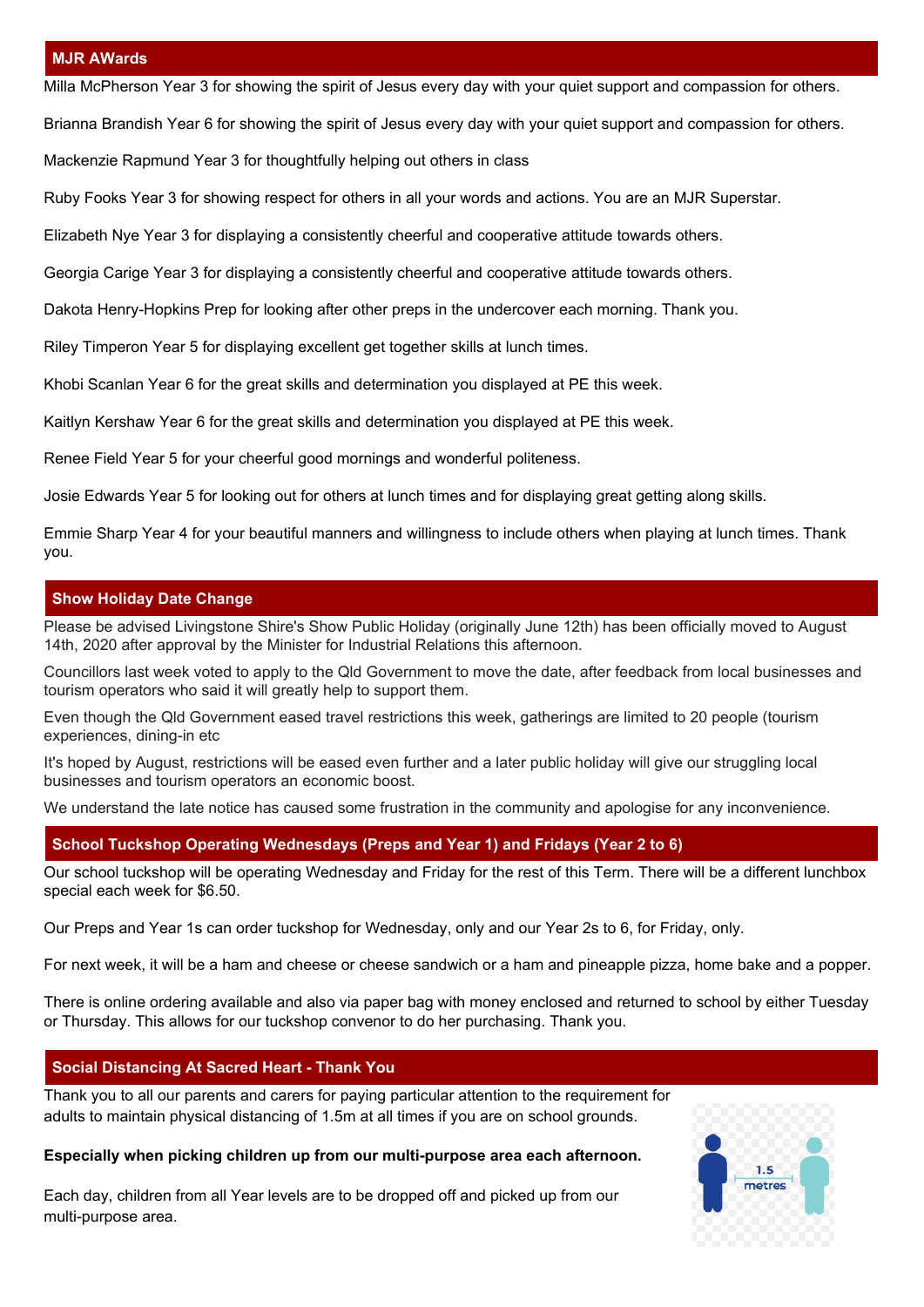#### **MJR AWards**

Milla McPherson Year 3 for showing the spirit of Jesus every day with your quiet support and compassion for others.

Brianna Brandish Year 6 for showing the spirit of Jesus every day with your quiet support and compassion for others.

Mackenzie Rapmund Year 3 for thoughtfully helping out others in class

Ruby Fooks Year 3 for showing respect for others in all your words and actions. You are an MJR Superstar.

Elizabeth Nye Year 3 for displaying a consistently cheerful and cooperative attitude towards others.

Georgia Carige Year 3 for displaying a consistently cheerful and cooperative attitude towards others.

Dakota Henry-Hopkins Prep for looking after other preps in the undercover each morning. Thank you.

Riley Timperon Year 5 for displaying excellent get together skills at lunch times.

Khobi Scanlan Year 6 for the great skills and determination you displayed at PE this week.

Kaitlyn Kershaw Year 6 for the great skills and determination you displayed at PE this week.

Renee Field Year 5 for your cheerful good mornings and wonderful politeness.

Josie Edwards Year 5 for looking out for others at lunch times and for displaying great getting along skills.

Emmie Sharp Year 4 for your beautiful manners and willingness to include others when playing at lunch times. Thank you.

#### **Show Holiday Date Change**

Please be advised Livingstone Shire's Show Public Holiday (originally June 12th) has been officially moved to August 14th, 2020 after approval by the Minister for Industrial Relations this afternoon.

Councillors last week voted to apply to the Qld Government to move the date, after feedback from local businesses and tourism operators who said it will greatly help to support them.

Even though the Qld Government eased travel restrictions this week, gatherings are limited to 20 people (tourism experiences, dining-in etc

It's hoped by August, restrictions will be eased even further and a later public holiday will give our struggling local businesses and tourism operators an economic boost.

We understand the late notice has caused some frustration in the community and apologise for any inconvenience.

#### **School Tuckshop Operating Wednesdays (Preps and Year 1) and Fridays (Year 2 to 6)**

Our school tuckshop will be operating Wednesday and Friday for the rest of this Term. There will be a different lunchbox special each week for \$6.50.

Our Preps and Year 1s can order tuckshop for Wednesday, only and our Year 2s to 6, for Friday, only.

For next week, it will be a ham and cheese or cheese sandwich or a ham and pineapple pizza, home bake and a popper.

There is online ordering available and also via paper bag with money enclosed and returned to school by either Tuesday or Thursday. This allows for our tuckshop convenor to do her purchasing. Thank you.

#### **Social Distancing At Sacred Heart - Thank You**

Thank you to all our parents and carers for paying particular attention to the requirement for adults to maintain physical distancing of 1.5m at all times if you are on school grounds.

#### **Especially when picking children up from our multi-purpose area each afternoon.**

Each day, children from all Year levels are to be dropped off and picked up from our multi-purpose area.

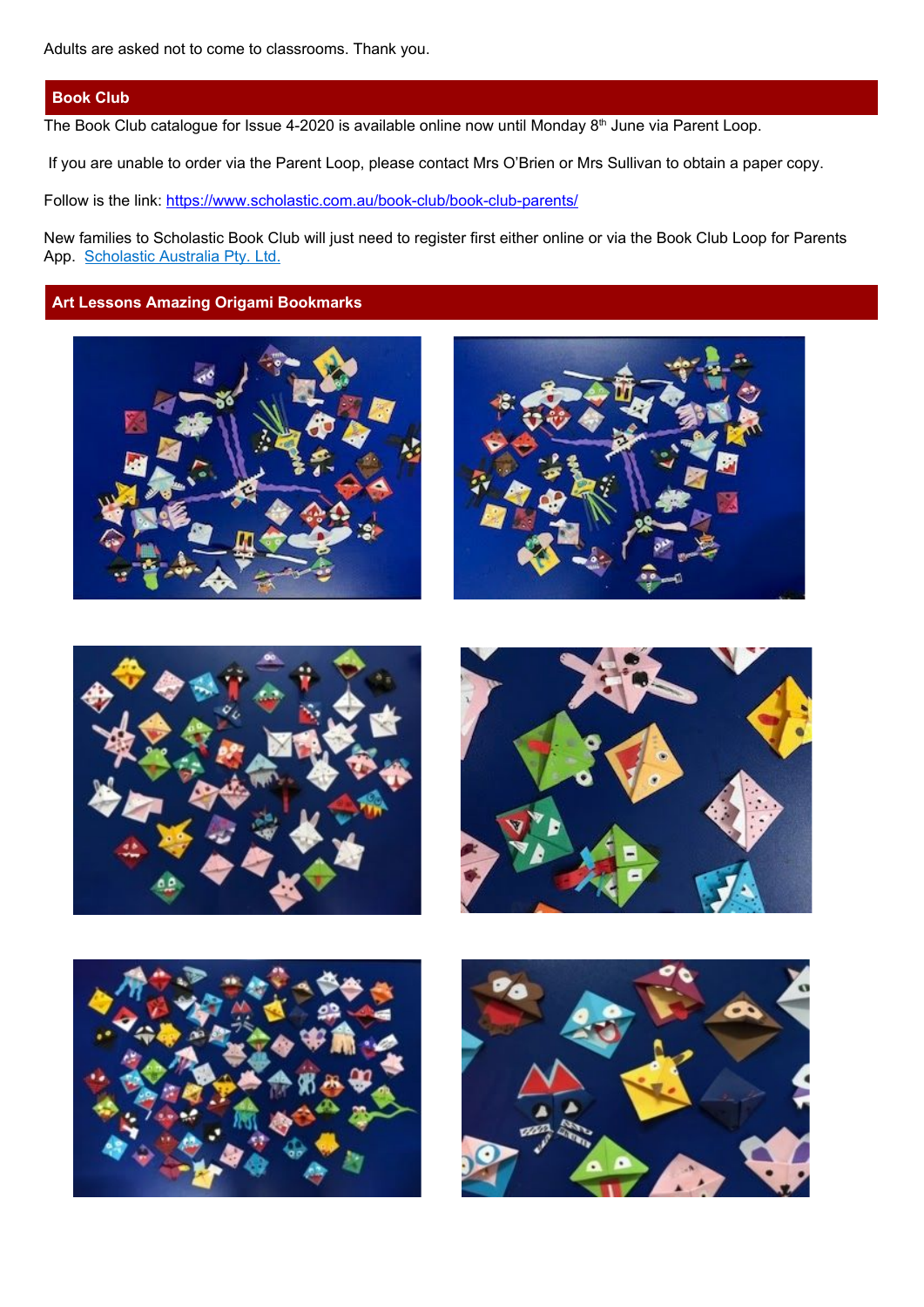#### **Book Club**

The Book Club catalogue for Issue 4-2020 is available online now until Monday  $8<sup>th</sup>$  June via Parent Loop.

If you are unable to order via the Parent Loop, please contact Mrs O'Brien or Mrs Sullivan to obtain a paper copy.

Follow is the link: <https://www.scholastic.com.au/book-club/book-club-parents/>

New families to Scholastic Book Club will just need to register first either online or via the Book Club Loop for Parents App. [Scholastic](https://apps.apple.com/au/developer/scholastic-australia-pty-ltd/id821649407) Australia Pty. Ltd.

# **Art Lessons Amazing Origami Bookmarks**











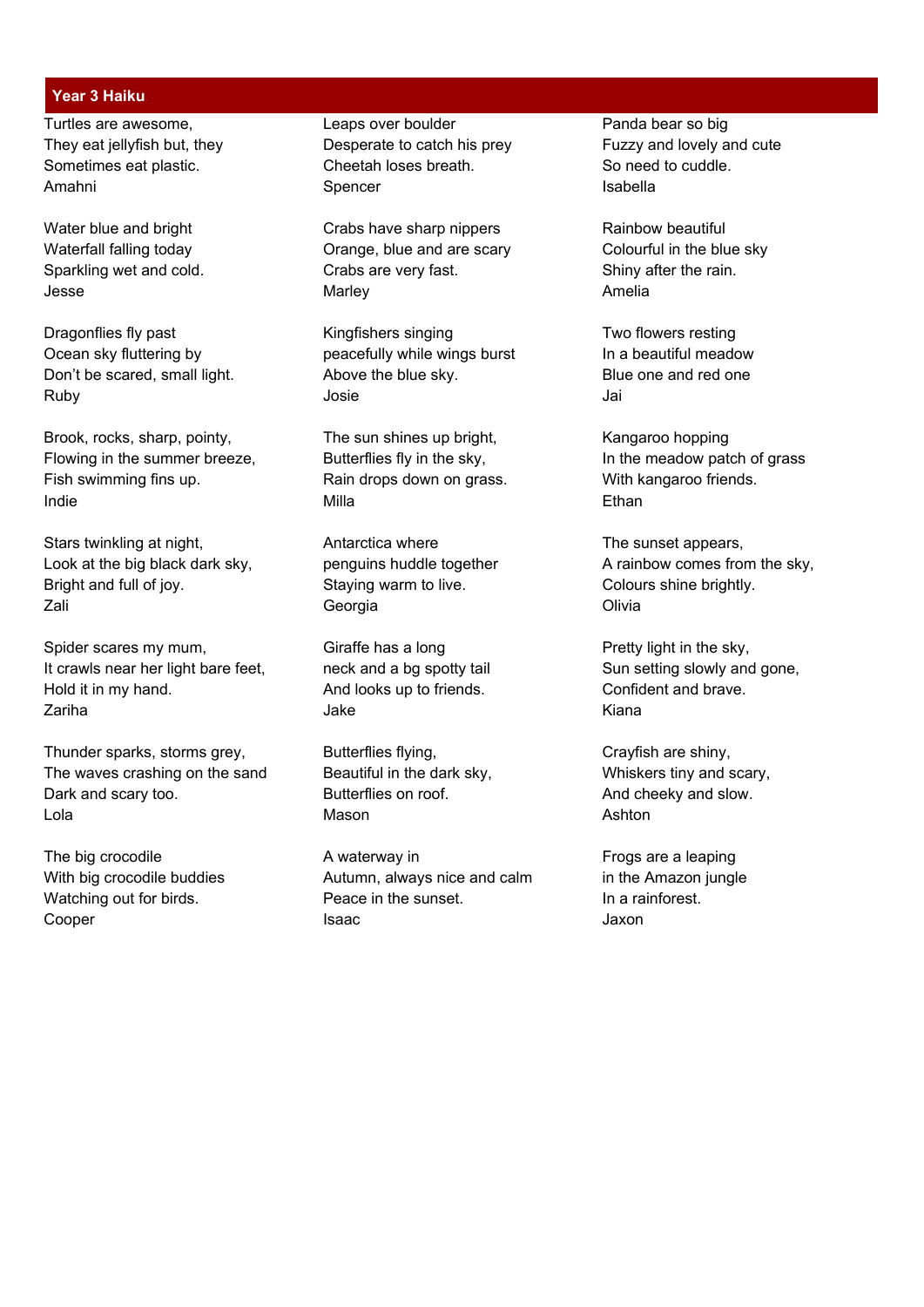#### **Year 3 Haiku**

Ruby Josie Jai

Brook, rocks, sharp, pointy, The sun shines up bright, Kangaroo hopping Flowing in the summer breeze, Butterflies fly in the sky, Solid He meadow patch of grass Fish swimming fins up. The Rain drops down on grass. With kangaroo friends. Indie 1986 is de la constant de Milla de la constant de la constant de la constant de la constant de la constant<br>De la constant de la constant de la constant de la constant de la constant de la constant de la constant de l

Stars twinkling at night, **Antarctica where** The sunset appears, Bright and full of joy. Staying warm to live. Colours shine brightly. Zali Georgia Olivia

Spider scares my mum, Giraffe has a long example and Pretty light in the sky, It crawls near her light bare feet, neck and a bg spotty tail Sun setting slowly and gone, Hold it in my hand. And looks up to friends. Confident and brave. Zariha Jake Kiana

Thunder sparks, storms grey, Butterflies flying, Crayfish are shiny, The waves crashing on the sand Beautiful in the dark sky, Whiskers tiny and scary, Dark and scary too. Butterflies on roof. And cheeky and slow. Lola Mason Ashton

Turtles are awesome, Turtles are awesome, Leaps over boulder All the Panda bear so big They eat jellyfish but, they **Desperate to catch his prey** Fuzzy and lovely and cute Sometimes eat plastic. Cheetah loses breath. So need to cuddle. Amahni Spencer Isabella

Water blue and bright Crabs have sharp nippers Rainbow beautiful Waterfall falling today **Orange**, blue and are scary **Colourful in the blue sky** Sparkling wet and cold. Crabs are very fast. Shiny after the rain. Jesse Marley Amelia

Dragonflies fly past **Kingfishers singing** Two flowers resting Ocean sky fluttering by example accefully while wings burst In a beautiful meadow Don't be scared, small light. Above the blue sky. Blue one and red one

The big crocodile **A** waterway in A waterway in Frogs are a leaping With big crocodile buddies **Autumn, always nice and calm** in the Amazon jungle Watching out for birds. **Peace in the sunset.** In a rainforest. Cooper **Isaac** Isaac Jaxon

Look at the big black dark sky, example in penguins huddle together a paramonic A rainbow comes from the sky,